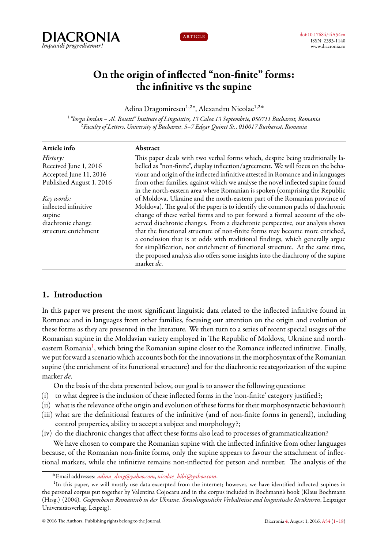



# **On the origin of inflected "non-finite" forms: the infinitive vs the supine**

Adina Dragomirescu<sup>1</sup>*,*2˚ , Alexandru Nicolae<sup>1</sup>*,*2˚

1 *"Iorgu Iordan – Al. Rosetti" Institute of Linguistics, 13 Calea 13 Septembrie, 050711 Bucharest, Romania* <sup>2</sup>*Faculty of Letters, University of Bucharest, 5–7 Edgar Quinet St., 010017 Bucharest, Romania*

| Abstract                                                                          |
|-----------------------------------------------------------------------------------|
| This paper deals with two verbal forms which, despite being traditionally la-     |
| belled as "non-finite", display inflection/agreement. We will focus on the beha-  |
| viour and origin of the inflected infinitive attested in Romance and in languages |
| from other families, against which we analyse the novel inflected supine found    |
| in the north-eastern area where Romanian is spoken (comprising the Republic       |
| of Moldova, Ukraine and the north-eastern part of the Romanian province of        |
| Moldova). The goal of the paper is to identify the common paths of diachronic     |
| change of these verbal forms and to put forward a formal account of the ob-       |
| served diachronic changes. From a diachronic perspective, our analysis shows      |
| that the functional structure of non-finite forms may become more enriched,       |
| a conclusion that is at odds with traditional findings, which generally argue     |
| for simplification, not enrichment of functional structure. At the same time,     |
| the proposed analysis also offers some insights into the diachrony of the supine  |
| marker de.                                                                        |
|                                                                                   |

# <span id="page-0-0"></span>**1. Introduction**

In this paper we present the most significant linguistic data related to the inflected infinitive found in Romance and in languages from other families, focusing our attention on the origin and evolution of these forms as they are presented in the literature. We then turn to a series of recent special usages of the Romanian supine in the Moldavian variety employed in The Republic of Moldova, Ukraine and north-eastern Romania<sup>[1](#page-0-1)</sup>, which bring the Romanian supine closer to the Romance inflected infinitive. Finally, we put forward a scenario which accounts both for the innovations in the morphosyntax of the Romanian supine (the enrichment of its functional structure) and for the diachronic recategorization of the supine marker *de*.

On the basis of the data presented below, our goal is to answer the following questions:

- (i) to what degree is the inclusion of these inflected forms in the 'non-finite' category justified?;
- (ii) what is the relevance of the origin and evolution of these forms for their morphosyntactic behaviour?;
- (iii) what are the definitional features of the infinitive (and of non-finite forms in general), including control properties, ability to accept a subject and morphology?;
- (iv) do the diachronic changes that affect these forms also lead to processes of grammaticalization?

We have chosen to compare the Romanian supine with the inflected infinitive from other languages because, of the Romanian non-finite forms, only the supine appears to favour the attachment of inflectional markers, while the infinitive remains non-inflected for person and number. The analysis of the

<span id="page-0-1"></span><sup>˚</sup>Email addresses: *[adina\\_drag@yahoo.com](mailto:adina_drag@yahoo.com)*, *[nicolae\\_bibi@yahoo.com](mailto:nicolae_bibi@yahoo.com)*.

<sup>&</sup>lt;sup>1</sup>In this paper, we will mostly use data excerpted from the internet; however, we have identified inflected supines in the personal corpus put together by Valentina Cojocaru and in the corpus included in Bochmann's book (Klaus Bochmann (Hrsg.) (2004). *Gesprochenes Rumänisch in der Ukraine. Soziolinguistiche Verhältnisse and linguistische Strukturen*, Leipziger Universitätsverlag, Leipzig).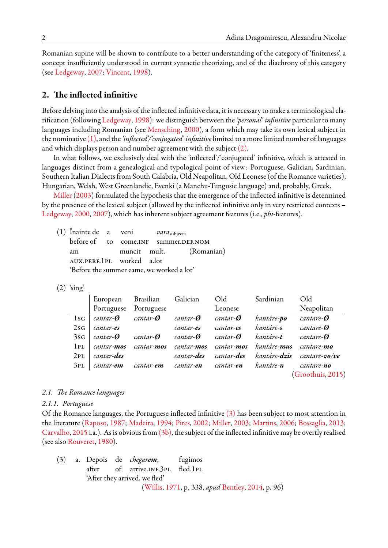Romanian supine will be shown to contribute to a better understanding of the category of 'finiteness', a concept insufficiently understood in current syntactic theorizing, and of the diachrony of this category (see [Ledgeway](#page-16-0), [2007](#page-16-0); [Vincent](#page-17-0), [1998](#page-17-0)).

# **2. The inflected infinitive**

Before delving into the analysis of the inflected infinitive data, it is necessary to make a terminological clarification (following [Ledgeway,](#page-16-1) [1998](#page-16-1)): we distinguish between the*'personal' infinitive* particular to many languages including Romanian (see [Mensching](#page-16-2), [2000\)](#page-16-2), a form which may take its own lexical subject in the nominative[\(1\),](#page-1-0) and the*'inflected'/'conjugated' infinitive*limited to a more limited number of languages and which displays person and number agreement with the subject [\(2\).](#page-1-1)

In what follows, we exclusively deal with the 'inflected'/'conjugated' infinitive, which is attested in languages distinct from a genealogical and typological point of view: Portuguese, Galician, Sardinian, Southern Italian Dialects from South Calabria, Old Neapolitan, Old Leonese (of the Romance varieties), Hungarian, Welsh, West Greenlandic, Evenki (a Manchu-Tungusic language) and, probably, Greek.

[Miller](#page-16-3) ([2003](#page-16-3)) formulated the hypothesis that the emergence of the inflected infinitive is determined by the presence of the lexical subject (allowed by the inflected infinitive only in very restricted contexts – [Ledgeway,](#page-16-4) [2000,](#page-16-4) [2007\)](#page-16-0), which has inherent subject agreement features (i.e., *phi*-features).

<span id="page-1-0"></span>(1) Înainte de a veni *vara*subject, before of to come.INF summer.DEF.NOM am muncit mult. (Romanian) aux.perf.1pl worked a.lot 'Before the summer came, we worked a lot'

<span id="page-1-1"></span> $(2)$  'sing'

|     | European           | Brasilian         | Galician           | Old                | Sardinian            | Old               |
|-----|--------------------|-------------------|--------------------|--------------------|----------------------|-------------------|
|     | Portuguese         | Portuguese        |                    | Leonese            |                      | Neapolitan        |
| 1sG | cantar-Ø           | cantar- <b>Ø</b>  | cantar- <b>Ø</b>   | cantar- <b>O</b>   | kantáre- <b>po</b>   | cantare-Ø         |
| 2sG | cantar-es          |                   | cantar-es          | cantar-es          | kantáre-s            | cantare-Ø         |
| 3sG | cantar- <b>Ø</b>   | cantar- <b>Ø</b>  | cantar- <b>O</b>   | cantar- <b>O</b>   | kantáre-t            | cantare- <b>Ø</b> |
| 1PL | cantar-mos         | cantar-mos        | cantar-mos         | cantar-mos         | kantáre- <b>mus</b>  | cantare-mo        |
| 2PL | cantar- <b>des</b> |                   | cantar- <b>des</b> | cantar- <b>des</b> | kantáre- <b>dzis</b> | cantare-vo/ve     |
| 3PL | cantar-em          | cantar- <b>em</b> | cantar- <b>en</b>  | cantar-en          | kantáre- <b>n</b>    | cantare-no        |
|     |                    |                   |                    |                    |                      | (Groothuis, 2015) |

#### *2.1. The Romance languages*

#### *2.1.1. Portuguese*

Of the Romance languages, the Portuguese inflected infinitive [\(3\)](#page-1-2) has been subject to most attention in the literature([Raposo,](#page-17-1) [1987](#page-17-1); [Madeira](#page-16-6), [1994;](#page-16-6) [Pires](#page-17-2), [2002;](#page-17-2) [Miller,](#page-16-3) [2003](#page-16-3); [Martins,](#page-16-7) [2006](#page-16-7); [Bossaglia](#page-15-0), [2013;](#page-15-0) [Carvalho,](#page-16-8) [2015](#page-16-8) i.a.). As is obvious from  $(3b)$ , the subject of the inflected infinitive may be overtly realised (see also [Rouveret](#page-17-3), [1980](#page-17-3)).

<span id="page-1-2"></span>(3) a. Depois de *chegarem*, fugimos after of arrive.INF.3PL fled.1PL 'After they arrived, we fled' ([Willis](#page-17-4), [1971](#page-17-4), p. 338, *apud* [Bentley](#page-15-1), [2014](#page-15-1), p. 96)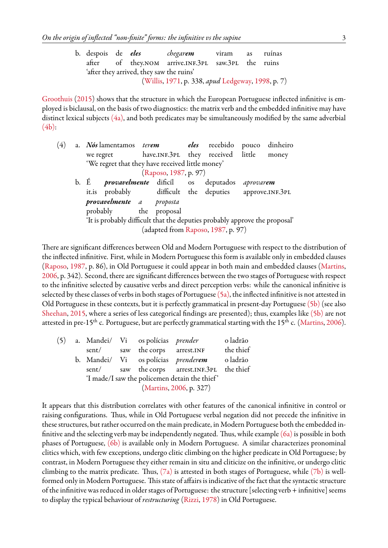|  |                                          | b. despois de <i>eles chegarem</i> viram as ruínas |  |  |
|--|------------------------------------------|----------------------------------------------------|--|--|
|  |                                          | after of they.NOM arrive.INF.3PL saw.3PL the ruins |  |  |
|  | 'after they arrived, they saw the ruins' |                                                    |  |  |
|  |                                          | (Willis, 1971, p. 338, apud Ledgeway, 1998, p. 7)  |  |  |

[Groothuis](#page-16-5) [\(2015](#page-16-5)) shows that the structure in which the European Portuguese inflected infinitive is employed is biclausal, on the basis of two diagnostics: the matrix verb and the embedded infinitive may have distinct lexical subjects  $(4a)$ , and both predicates may be simultaneously modified by the same adverbial  $(4b)$ :

<span id="page-2-0"></span>

| (4) | a. Nós lamentamos <i>terem</i> eles recebido pouco                         |                                    |  |                   | dinheiro |
|-----|----------------------------------------------------------------------------|------------------------------------|--|-------------------|----------|
|     | we regret have.INF.3PL they received little                                |                                    |  |                   | money    |
|     | 'We regret that they have received little money'                           |                                    |  |                   |          |
|     |                                                                            | (Raposo, 1987, p. 97)              |  |                   |          |
|     | b. É <i>provavelmente</i> dificíl os deputados                             |                                    |  | aprovar <b>em</b> |          |
|     | it.is probably difficult the deputies approve.INF.3PL                      |                                    |  |                   |          |
|     | provavelmente a proposta                                                   |                                    |  |                   |          |
|     | probably the proposal                                                      |                                    |  |                   |          |
|     | 'It is probably difficult that the deputies probably approve the proposal' |                                    |  |                   |          |
|     |                                                                            | (adapted from Raposo, 1987, p. 97) |  |                   |          |
|     |                                                                            |                                    |  |                   |          |

There are significant differences between Old and Modern Portuguese with respect to the distribution of the inflected infinitive. First, while in Modern Portuguese this form is available only in embedded clauses ([Raposo](#page-17-1), [1987,](#page-17-1) p. 86), in Old Portuguese it could appear in both main and embedded clauses [\(Martins](#page-16-7), [2006,](#page-16-7) p. 342). Second, there are significant differences between the two stages of Portuguese with respect to the infinitive selected by causative verbs and direct perception verbs: while the canonical infinitive is selected by these classes of verbs in both stages of Portuguese  $(5a)$ , the inflected infinitive is not attested in Old Portuguese in these contexts, but it is perfectly grammatical in present-day Portuguese [\(5b\)](#page-2-1) (see also [Sheehan,](#page-17-5) [2015](#page-17-5), where a series of less categorical findings are presented); thus, examples like [\(5b\)](#page-2-1) are not attestedin pre-15<sup>th</sup> c. Portuguese, but are perfectly grammatical starting with the 15<sup>th</sup> c. ([Martins](#page-16-7), [2006](#page-16-7)).

<span id="page-2-1"></span>(5) a. Mandei/ Vi os polícias *prender* o ladrão sent/ saw the corps arrest.INF the thief b. Mandei/ Vi os polícias *prenderem* o ladrão sent/ saw the corps arrest.INF.3PL the thief 'I made/I saw the policemen detain the thief ' ([Martins,](#page-16-7) [2006,](#page-16-7) p. 327)

It appears that this distribution correlates with other features of the canonical infinitive in control or raising configurations. Thus, while in Old Portuguese verbal negation did not precede the infinitive in these structures, but rather occurred on the main predicate, in Modern Portuguese both the embedded infinitive and the selecting verb may be independently negated. Thus, while example  $(6a)$  is possible in both phases of Portuguese, [\(6b\)](#page-3-0) is available only in Modern Portuguese. A similar characterizes pronominal clitics which, with few exceptions, undergo clitic climbing on the higher predicate in Old Portuguese; by contrast, in Modern Portuguese they either remain in situ and cliticize on the infinitive, or undergo clitic climbing to the matrix predicate. Thus,  $(7a)$  is attested in both stages of Portuguese, while  $(7b)$  is wellformed only in Modern Portuguese. This state of affairs is indicative of the fact that the syntactic structure of the infinitive was reduced in older stages of Portuguese: the structure [selecting verb + infinitive] seems to display the typical behaviour of *restructuring* ([Rizzi,](#page-17-6) [1978](#page-17-6)) in Old Portuguese.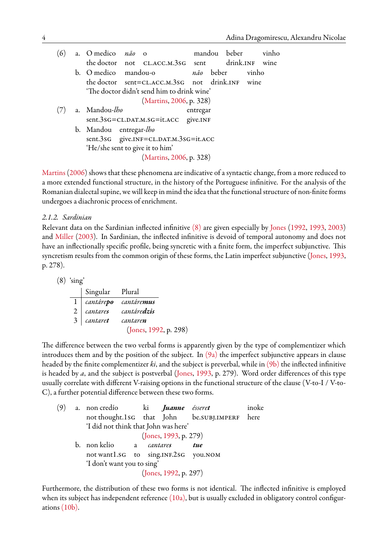<span id="page-3-1"></span><span id="page-3-0"></span>

| (6) | a. O medico não o               |                                                 |          | mandou beber |      | vinho |
|-----|---------------------------------|-------------------------------------------------|----------|--------------|------|-------|
|     |                                 | the doctor not CL.ACC.M.3sG sent drink.INF wine |          |              |      |       |
|     | b. O medico mandou-o            | não beber vinho                                 |          |              |      |       |
|     |                                 | the doctor sent=CLACC.M.3sG not drink.INF       |          |              | wine |       |
|     |                                 | 'The doctor didn't send him to drink wine'      |          |              |      |       |
|     |                                 | (Martins, 2006, p. 328)                         |          |              |      |       |
|     | a. Mandou-lho                   |                                                 | entregar |              |      |       |
|     |                                 | sent.3sG=CL.DAT.M.SG=it.ACC give.INF            |          |              |      |       |
|     | b. Mandou entregar-lho          |                                                 |          |              |      |       |
|     |                                 | sent.3sG give.INF=CL.DAT.M.3sG=it.ACC           |          |              |      |       |
|     | 'He/she sent to give it to him' |                                                 |          |              |      |       |
|     |                                 | (Martins, 2006, p. 328)                         |          |              |      |       |
|     |                                 |                                                 |          |              |      |       |

[Martins](#page-16-7) ([2006\)](#page-16-7) shows that these phenomena are indicative of a syntactic change, from a more reduced to a more extended functional structure, in the history of the Portuguese infinitive. For the analysis of the Romanian dialectal supine, we will keep in mind the idea that the functional structure of non-finite forms undergoes a diachronic process of enrichment.

# *2.1.2. Sardinian*

Relevant data on the Sardinian inflected infinitive [\(8\)](#page-3-2) are given especially by [Jones](#page-16-9) [\(1992](#page-16-9), [1993,](#page-16-10) [2003\)](#page-16-11) and [Miller](#page-16-3) ([2003](#page-16-3)). In Sardinian, the inflected infinitive is devoid of temporal autonomy and does not have an inflectionally specific profile, being syncretic with a finite form, the imperfect subjunctive. This syncretism results from the common origin of these forms, the Latin imperfect subjunctive [\(Jones](#page-16-10), [1993](#page-16-10), p. 278).

<span id="page-3-2"></span>(8) 'sing'

|                | Singular Plural |                        |
|----------------|-----------------|------------------------|
|                |                 | 1 cantárepo cantáremus |
| 2 <sup>1</sup> | cantares        | cantáre <b>dzis</b>    |
|                | 3 cantaret      | cantaren               |
|                |                 | (Jones, 1992, p. 298)  |

The difference between the two verbal forms is apparently given by the type of complementizer which introduces them and by the position of the subject. In  $(9a)$  the imperfect subjunctive appears in clause headed by the finite complementizer *ki*, and the subject is preverbal, while in [\(9b\)](#page-3-3) the inflected infinitive is headed by *a*, and the subject is postverbal [\(Jones,](#page-16-10) [1993](#page-16-10), p. 279). Word order differences of this type usually correlate with different V-raising options in the functional structure of the clause (V-to-I / V-to-C), a further potential difference between these two forms.

<span id="page-3-3"></span>

|  |              |  |                                          | inoke                                                                                                                                                                                                                     |
|--|--------------|--|------------------------------------------|---------------------------------------------------------------------------------------------------------------------------------------------------------------------------------------------------------------------------|
|  |              |  |                                          |                                                                                                                                                                                                                           |
|  |              |  |                                          |                                                                                                                                                                                                                           |
|  |              |  |                                          |                                                                                                                                                                                                                           |
|  |              |  | tue                                      |                                                                                                                                                                                                                           |
|  |              |  |                                          |                                                                                                                                                                                                                           |
|  |              |  |                                          |                                                                                                                                                                                                                           |
|  |              |  |                                          |                                                                                                                                                                                                                           |
|  | b. non kelio |  | a cantares<br>'I don't want you to sing' | a. non credío ki <i>Juanne ésseret</i><br>not thought.1sG that John be.SUBJ.IMPERF here<br>'I did not think that John was here'<br>(Jones, 1993, p. 279)<br>not wantl.sG to sing.INF.2sG you.NOM<br>(Jones, 1992, p. 297) |

Furthermore, the distribution of these two forms is not identical. The inflected infinitive is employed when its subject has independent reference  $(10a)$ , but is usually excluded in obligatory control configurations [\(10b\)](#page-4-0).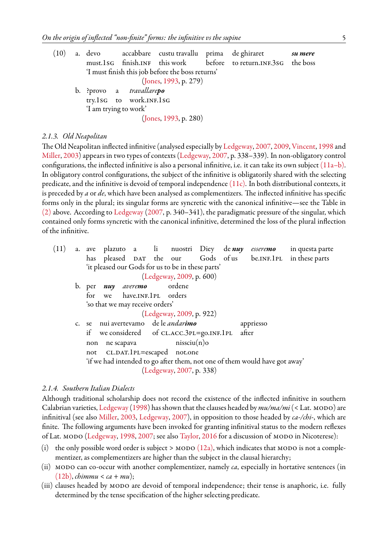<span id="page-4-0"></span>(10) a. devo accabbare custu travallu prima de ghiraret *su mere* must.1sg finish.inf this work before to return.inf.3sg the boss 'I must finish this job before the boss returns' ([Jones,](#page-16-10) [1993,](#page-16-10) p. 279) b. ?provo a *travallarepo* try.1sg to work.INF.1sg 'I am trying to work' ([Jones,](#page-16-10) [1993,](#page-16-10) p. 280)

#### *2.1.3. Old Neapolitan*

The Old Neapolitan inflected infinitive (analysed especially by [Ledgeway,](#page-16-0) [2007,](#page-16-0) [2009](#page-16-12), [Vincent](#page-17-0), [1998](#page-17-0) and [Miller,](#page-16-3) [2003\)](#page-16-3) appears in two types of contexts([Ledgeway,](#page-16-0) [2007,](#page-16-0) p. 338–339). In non-obligatory control configurations, the inflected infinitive is also a personal infinitive, i.e. it can take its own subject  $(11a-b)$ . In obligatory control configurations, the subject of the infinitive is obligatorily shared with the selecting predicate, and the infinitive is devoid of temporal independence  $(11c)$ . In both distributional contexts, it is preceded by *a* or *de*, which have been analysed as complementizers. The inflected infinitive has specific forms only in the plural; its singular forms are syncretic with the canonical infinitive—see the Table in [\(2\)](#page-1-1) above. According to [Ledgeway](#page-16-0) ([2007,](#page-16-0) p. 340–341), the paradigmatic pressure of the singular, which contained only forms syncretic with the canonical infinitive, determined the loss of the plural inflection of the infinitive.

<span id="page-4-1"></span>(11) a. ave plazuto a li nuostri Diey de *nuy esseremo* in questa parte has pleased DAT the our Gods of us be.INF.1PL in these parts 'it pleased our Gods for us to be in these parts' ([Ledgeway,](#page-16-12) [2009,](#page-16-12) p. 600) b. per *nuy averemo* ordene for we have.INF.1PL orders 'so that we may receive orders' ([Ledgeway,](#page-16-12) [2009,](#page-16-12) p. 922) c. se nui avertevamo de le *andarimo* appriesso if we considered of CL.ACC.3PL=go.INF.1PL after non ne scapava nissciu(n)o not CL.DAT.1PL=escaped not.one 'if we had intended to go after them, not one of them would have got away' ([Ledgeway,](#page-16-0) [2007,](#page-16-0) p. 338)

# *2.1.4. Southern Italian Dialects*

Although traditional scholarship does not record the existence of the inflected infinitive in southern Calabrian varieties, [Ledgeway](#page-16-1) [\(1998](#page-16-1)) has shown that the clauses headed by  $mu/ma/mi$  (< Lat. MODO) are infinitival (see also [Miller,](#page-16-3) [2003](#page-16-3), [Ledgeway,](#page-16-0) [2007](#page-16-0)), in opposition to those headed by *ca-/chi-*, which are finite. The following arguments have been invoked for granting infinitival status to the modern reflexes of Lat. MODO ([Ledgeway](#page-16-1), [1998](#page-16-1), [2007](#page-16-0); see also [Taylor,](#page-17-7) [2016](#page-17-7) for a discussion of MODO in Nicoterese):

- (i) the only possible word order is subject > MODO  $(12a)$ , which indicates that MODO is not a complementizer, as complementizers are higher than the subject in the clausal hierarchy;
- (ii) modo can co-occur with another complementizer, namely *ca*, especially in hortative sentences (in [\(12b\)](#page-5-0), *chimmu* < *ca* + *mu*);
- (iii) clauses headed by MODO are devoid of temporal independence; their tense is anaphoric, i.e. fully determined by the tense specification of the higher selecting predicate.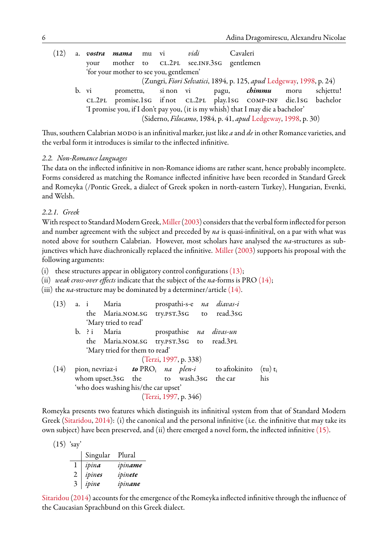<span id="page-5-0"></span>(12) a. *vostra mama* mu vi *vidi* Cavaleri your mother to CL.2PL see.INF.3sG gentlemen 'for your mother to see you, gentlemen' (Zungri, *Fiori Selvatici*, 1894, p. 125, *apud* [Ledgeway](#page-16-1), [1998](#page-16-1), p. 24) b. vi promettu, si non vi pagu, *chimmu* moru schjettu! cl.2pl promise.1sg if not cl.2pl play.1sg comp-inf die.1sg bachelor 'I promise you, if I don't pay you, (it is my whish) that I may die a bachelor' (Siderno, *Filocamo*, 1984, p. 41, *apud* [Ledgeway,](#page-16-1) [1998,](#page-16-1) p. 30)

Thus, southern Calabrian MODO is an infinitival marker, just like *a* and *de* in other Romance varieties, and the verbal form it introduces is similar to the inflected infinitive.

# *2.2. Non-Romance languages*

The data on the inflected infinitive in non-Romance idioms are rather scant, hence probably incomplete. Forms considered as matching the Romance inflected infinitive have been recorded in Standard Greek and Romeyka (/Pontic Greek, a dialect of Greek spoken in north-eastern Turkey), Hungarian, Evenki, and Welsh.

# *2.2.1. Greek*

With respect to Standard Modern Greek, [Miller](#page-16-3) ([2003\)](#page-16-3) considers that the verbal form inflected for person and number agreement with the subject and preceded by *na* is quasi-infinitival, on a par with what was noted above for southern Calabrian. However, most scholars have analysed the *na*-structures as sub-junctives which have diachronically replaced the infinitive. [Miller](#page-16-3) ([2003\)](#page-16-3) supports his proposal with the following arguments:

(i) these structures appear in obligatory control configurations  $(13)$ ;

- (ii) *weak cross-over effects* indicate that the subject of the *na*-forms is PRO [\(14\);](#page-5-2)
- (iii) the *na*-structure may be dominated by a determiner/article [\(14\).](#page-5-2)

<span id="page-5-1"></span>

| (13) |  | a. i Maria                             |                       |  | prospathi-s-e na diavas-i                                                                          |     |
|------|--|----------------------------------------|-----------------------|--|----------------------------------------------------------------------------------------------------|-----|
|      |  |                                        |                       |  | the Maria.NOM.SG try.PST.3sG to read.3sG                                                           |     |
|      |  | 'Mary tried to read'                   |                       |  |                                                                                                    |     |
|      |  | b. ? i Maria                           |                       |  | prospathise na divas-un                                                                            |     |
|      |  |                                        |                       |  | the Maria.NOM.SG try.PST.3sG to read.3PL                                                           |     |
|      |  | 'Mary tried for them to read'          |                       |  |                                                                                                    |     |
|      |  |                                        | (Terzi, 1997, p. 338) |  |                                                                                                    |     |
| (14) |  |                                        |                       |  | pion <sub>i</sub> nevriaz-i <b>to</b> PRO <sub>i</sub> na plen-i to aftokinito (tu) t <sub>i</sub> |     |
|      |  | whom upset.3sG the to wash.3sG the car |                       |  |                                                                                                    | his |
|      |  | 'who does washing his/the car upset'   |                       |  |                                                                                                    |     |
|      |  |                                        | (Terzi, 1997, p. 346) |  |                                                                                                    |     |

<span id="page-5-2"></span>Romeyka presents two features which distinguish its infinitival system from that of Standard Modern Greek([Sitaridou,](#page-17-9) [2014\)](#page-17-9): (i) the canonical and the personal infinitive (i.e. the infinitive that may take its own subject) have been preserved, and (ii) there emerged a novel form, the inflected infinitive [\(15\).](#page-5-3)

<span id="page-5-3"></span> $(15)$  'say'

|   | Singular Plural |         |
|---|-----------------|---------|
|   | ipina           | ipiname |
| 2 | ipines          | ipinete |
| 3 | ipine           | ipinane |

[Sitaridou](#page-17-9) ([2014\)](#page-17-9) accounts for the emergence of the Romeyka inflected infinitive through the influence of the Caucasian Sprachbund on this Greek dialect.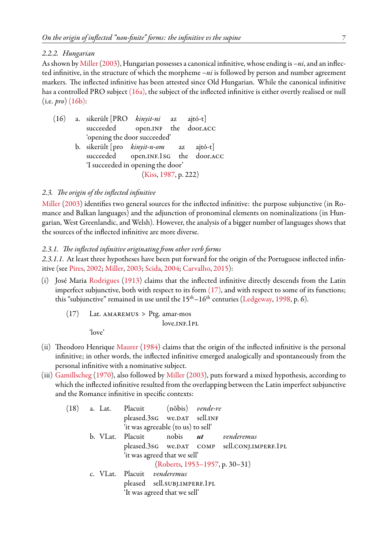#### *2.2.2. Hungarian*

As shown by [Miller](#page-16-3)([2003\)](#page-16-3), Hungarian possesses a canonical infinitive, whose ending is *–ni*, and an inflected infinitive, in the structure of which the morpheme *–ni* is followed by person and number agreement markers. The inflected infinitive has been attested since Old Hungarian. While the canonical infinitive has a controlled PRO subject [\(16a\),](#page-6-0) the subject of the inflected infinitive is either overtly realised or null (i.e. *pro*) [\(16b\):](#page-6-0)

<span id="page-6-0"></span>(16) a. sikerült [PRO *kinyit-ni* az ajtó-t] succeeded open.INF the door.ACC 'opening the door succeeded' b. sikerült [pro *kinyit-n-om* az ajtó-t] succeeded open.INF.1sG the door.ACC 'I succeeded in opening the door' ([Kiss](#page-16-13), [1987](#page-16-13), p. 222)

# *2.3. The origin of the inflected infinitive*

[Miller](#page-16-3) [\(2003\)](#page-16-3) identifies two general sources for the inflected infinitive: the purpose subjunctive (in Romance and Balkan languages) and the adjunction of pronominal elements on nominalizations (in Hungarian, West Greenlandic, and Welsh). However, the analysis of a bigger number of languages shows that the sources of the inflected infinitive are more diverse.

#### *2.3.1. The inflected infinitive originating from other verb forms*

*2.3.1.1.* At least three hypotheses have been put forward for the origin of the Portuguese inflected infinitive (see [Pires,](#page-17-2) [2002](#page-17-2); [Miller](#page-16-3), [2003;](#page-16-3) [Scida](#page-17-10), [2004](#page-17-10); [Carvalho,](#page-16-8) [2015\)](#page-16-8):

- <span id="page-6-1"></span>(i) José Maria [Rodrigues](#page-17-11) ([1913](#page-17-11)) claims that the inflected infinitive directly descends from the Latin imperfect subjunctive, both with respect to its form  $(17)$ , and with respect to some of its functions; this"subjunctive" remained in use until the  $15<sup>th</sup> - 16<sup>th</sup>$  centuries ([Ledgeway,](#page-16-1) [1998,](#page-16-1) p. 6).
	- $(17)$  Lat. AMAREMUS > Ptg. amar-mos love.INF.1PL

'love'

- (ii) Theodoro Henrique [Maurer](#page-16-14) [\(1984](#page-16-14)) claims that the origin of the inflected infinitive is the personal infinitive; in other words, the inflected infinitive emerged analogically and spontaneously from the personal infinitive with a nominative subject.
- (iii) [Gamillscheg](#page-16-15) [\(1970](#page-16-15)), also followed by [Miller](#page-16-3) [\(2003](#page-16-3)), puts forward a mixed hypothesis, according to which the inflected infinitive resulted from the overlapping between the Latin imperfect subjunctive and the Romance infinitive in specific contexts:

<span id="page-6-2"></span>

|  | (18) a. Lat. Placuit (nōbis) vende-re |                                    |                                              |
|--|---------------------------------------|------------------------------------|----------------------------------------------|
|  |                                       | pleased.3sG we.DAT sell.INF        |                                              |
|  |                                       | 'it was agreeable (to us) to sell' |                                              |
|  |                                       |                                    | b. VLat. Placuit nobis <i>ut venderemus</i>  |
|  |                                       |                                    | pleased.3sG we.DAT COMP sell.CONJ.IMPERF.1PL |
|  |                                       | 'it was agreed that we sell'       |                                              |
|  |                                       |                                    | (Roberts, 1953-1957, p. 30-31)               |
|  | c. VLat. Placuit venderemus           |                                    |                                              |
|  |                                       | pleased sell.SUBJ.IMPERF.1PL       |                                              |
|  |                                       | 'It was agreed that we sell'       |                                              |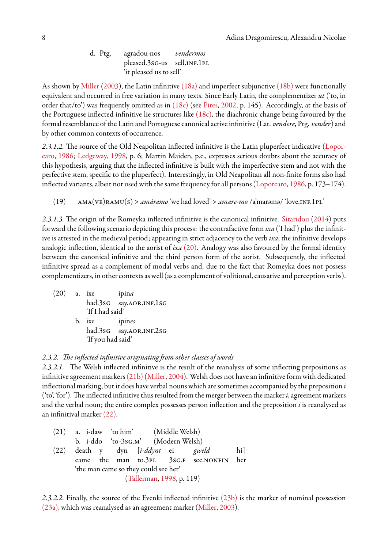d. Ptg. agradou-nos *vendermos* pleased.3sg-us sell.inf.1pl 'it pleased us to sell'

As shown by [Miller](#page-16-3) ([2003](#page-16-3)), the Latin infinitive [\(18a\)](#page-6-2) and imperfect subjunctive [\(18b\)](#page-6-2) were functionally equivalent and occurred in free variation in many texts. Since Early Latin, the complementizer *ut* ('to, in order that/to') was frequently omitted as in [\(18c\)](#page-6-2) (see [Pires](#page-17-2), [2002,](#page-17-2) p. 145). Accordingly, at the basis of the Portuguese inflected infinitive lie structures like  $(18c)$ , the diachronic change being favoured by the formal resemblance of the Latin and Portuguese canonical active infinitive (Lat. *vendere*, Ptg. *vender*) and by other common contexts of occurrence.

*2.3.1.2.* The source of the Old Neapolitan inflected infinitive is the Latin pluperfect indicative [\(Lopor](#page-16-16)[caro,](#page-16-16) [1986;](#page-16-16) [Ledgeway](#page-16-1), [1998](#page-16-1), p. 6; Martin Maiden, p.c., expresses serious doubts about the accuracy of this hypothesis, arguing that the inflected infinitive is built with the imperfective stem and not with the perfective stem, specific to the pluperfect). Interestingly, in Old Neapolitan all non-finite forms also had inflected variants, albeit not used with the same frequency for all persons([Loporcaro](#page-16-16), [1986,](#page-16-16) p. 173–174).

(19) ama(ve)ramu(s) > *amàramo* 'we had loved' > *amare-mo* /a'marəmə/ 'love.inf.1pl'

*2.3.1.3.* The origin of the Romeyka inflected infinitive is the canonical infinitive. [Sitaridou](#page-17-9) [\(2014\)](#page-17-9) puts forward the following scenario depicting this process: the contrafactive form *ixa* ('I had') plus the infinitive is attested in the medieval period; appearing in strict adjacency to the verb *ixa*, the infinitive develops analogic inflection, identical to the aorist of *ixa* [\(20\).](#page-7-0) Analogy was also favoured by the formal identity between the canonical infinitive and the third person form of the aorist. Subsequently, the inflected infinitive spread as a complement of modal verbs and, due to the fact that Romeyka does not possess complementizers, in other contexts as well (as a complement of volitional, causative and perception verbs).

<span id="page-7-0"></span>(20) a. ixe ipin*a* had.3sG say.AOR.INF.1sG 'If I had said' b. ixe ipin*es*

had.3sG say.AOR.INF.2sG 'If you had said'

# *2.3.2. The inflected infinitive originating from other classes of words*

*2.3.2.1.* The Welsh inflected infinitive is the result of the reanalysis of some inflecting prepositions as infinitive agreement markers [\(21b\)](#page-7-1) ([Miller,](#page-16-17) [2004\)](#page-16-17). Welsh does not have an infinitive form with dedicated inflectional marking, but it does have verbal nouns which are sometimes accompanied by the preposition *i* ('to', 'for'). The inflected infinitive thus resulted from the merger between the marker*i*, agreement markers and the verbal noun; the entire complex possesses person inflection and the preposition *i* is reanalysed as an infinitival marker [\(22\)](#page-7-2).

<span id="page-7-2"></span><span id="page-7-1"></span>(21) a. i-daw 'to him' (Middle Welsh) b. i-ddo 'to-3sg.m' (Modern Welsh) (22) death y dyn [*i-ddynt* ei *gweld* hi] came the man to.3pl 3sG.F see.NONFIN her 'the man came so they could see her' [\(Tallerman,](#page-17-13) [1998](#page-17-13), p. 119)

*2.3.2.2.* Finally, the source of the Evenki inflected infinitive [\(23b\)](#page-8-0) is the marker of nominal possession [\(23a\)](#page-8-0), which was reanalysed as an agreement marker [\(Miller](#page-16-3), [2003](#page-16-3)).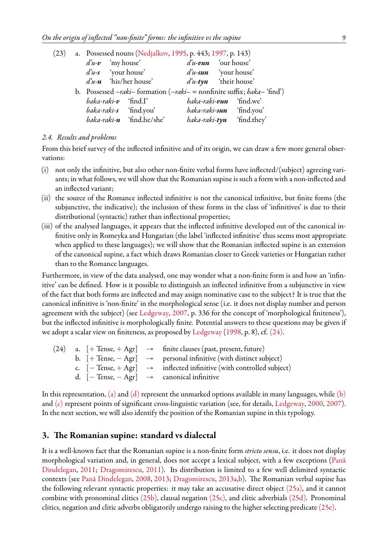<span id="page-8-0"></span>

| (23) |                                              | a. Possessed nouns (Nedjalkov, 1995, p. 443; 1997, p. 143)                   |                                 |                             |
|------|----------------------------------------------|------------------------------------------------------------------------------|---------------------------------|-----------------------------|
|      | $d'u-v$ 'my house'                           |                                                                              | $d'u$ -vun 'our house'          |                             |
|      | $d^2u-s$ 'your house'                        |                                                                              | $d^2u$ -sun 'your house'        |                             |
|      | $d\mathbf{u}\cdot\mathbf{n}$ 'his/her house' |                                                                              | $d'u$ -tyn 'their house'        |                             |
|      |                                              | b. Possessed $-raki$ -formation $(-raki$ = nonfinite suffix; $baka$ -'find') |                                 |                             |
|      | <i>baka-raki-v</i> 'find.I'                  |                                                                              | <i>baka-raki-vun</i> 'find.we'  |                             |
|      | <i>baka-raki-s</i> 'find.you'                |                                                                              | <i>baka-raki-sun</i> 'find.you' |                             |
|      |                                              | <i>baka-raki-n</i> 'find.he/she'                                             |                                 | $baka-raki-tyn$ 'find.they' |

#### <span id="page-8-2"></span>*2.4. Results and problems*

From this brief survey of the inflected infinitive and of its origin, we can draw a few more general observations:

- (i) not only the infinitive, but also other non-finite verbal forms have inflected/(subject) agreeing variants; in what follows, we will show that the Romanian supine is such a form with a non-inflected and an inflected variant;
- (ii) the source of the Romance inflected infinitive is not the canonical infinitive, but finite forms (the subjunctive, the indicative); the inclusion of these forms in the class of 'infinitives' is due to their distributional (syntactic) rather than inflectional properties;
- (iii) of the analysed languages, it appears that the inflected infinitive developed out of the canonical infinitive only in Romeyka and Hungarian (the label 'inflected infinitive' thus seems most appropriate when applied to these languages); we will show that the Romanian inflected supine is an extension of the canonical supine, a fact which draws Romanian closer to Greek varieties or Hungarian rather than to the Romance languages.

Furthermore, in view of the data analysed, one may wonder what a non-finite form is and how an 'infinitive' can be defined. How is it possible to distinguish an inflected infinitive from a subjunctive in view of the fact that both forms are inflected and may assign nominative case to the subject? It is true that the canonical infinitive is 'non-finite' in the morphological sense (i.e. it does not display number and person agreement with the subject) (see [Ledgeway](#page-16-0), [2007,](#page-16-0) p. 336 for the concept of 'morphological finiteness'), but the inflected infinitive is morphologically finite. Potential answers to these questions may be given if we adopt a scalar view on finiteness, as proposed by [Ledgeway](#page-16-1) ([1998](#page-16-1), p. 8), cf. [\(24\).](#page-8-1)

<span id="page-8-1"></span>

|  | $(24)$ a. $[+$ Tense, $+$ Agr] $\rightarrow$ finite clauses (past, present, future)              |
|--|--------------------------------------------------------------------------------------------------|
|  | b. $[+ \text{Tense}, - \text{Agr}] \rightarrow \text{personal infinite}$ (with distinct subject) |
|  | c. $[-$ Tense, $+$ Agr $] \rightarrow$ inflected infinitive (with controlled subject)            |
|  |                                                                                                  |
|  | d. $[-$ Tense, $-$ Agr $] \rightarrow$ canonical infinitive                                      |

In this representation, [\(a\)](#page-8-1) and [\(d\)](#page-8-1) represent the unmarked options available in many languages, while [\(b\)](#page-8-1) and [\(c\)](#page-8-1) represent points of significant cross-linguistic variation (see, for details, [Ledgeway](#page-16-4), [2000,](#page-16-4) [2007](#page-16-0)). In the next section, we will also identify the position of the Romanian supine in this typology.

# **3. The Romanian supine: standard vs dialectal**

It is a well-known fact that the Romanian supine is a non-finite form *stricto sensu*, i.e. it does not display morphological variation and, in general, does not accept a lexical subject, with a few exceptions [\(Pană](#page-17-14) [Dindelegan](#page-17-14), [2011;](#page-17-14) [Dragomirescu](#page-16-20), [2011](#page-16-20)). Its distribution is limited to a few well delimited syntactic contexts (see [Pană Dindelegan,](#page-17-15) [2008](#page-17-15), [2013;](#page-17-16) [Dragomirescu](#page-16-21), [2013a,](#page-16-21)[b\)](#page-16-22). The Romanian verbal supine has the following relevant syntactic properties: it may take an accusative direct object [\(25a\),](#page-9-0) and it cannot combine with pronominal clitics [\(25b\),](#page-9-0) clausal negation [\(25c\),](#page-9-0) and clitic adverbials [\(25d\).](#page-9-0) Pronominal clitics, negation and clitic adverbs obligatorily undergo raising to the higher selecting predicate [\(25e\).](#page-9-0)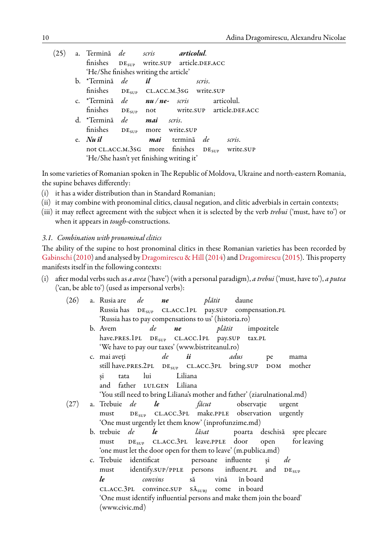<span id="page-9-0"></span>

| (25) | a. Termină <i>de scris <b>articolul</b>.</i>   |                                                            |        |                                                   |
|------|------------------------------------------------|------------------------------------------------------------|--------|---------------------------------------------------|
|      |                                                | finishes DE <sub>SUP</sub> write.SUP article.DEF.ACC       |        |                                                   |
|      |                                                | 'He/She finishes writing the article'                      |        |                                                   |
|      | b. *Termină <i>de <b>il</b></i>                |                                                            | scris. |                                                   |
|      |                                                | finishes DE <sub>SUP</sub> CL.ACC.M.3SG write.SUP          |        |                                                   |
|      | c. *Termină de <b>nu</b> /ne- scris articolul. |                                                            |        |                                                   |
|      |                                                |                                                            |        | finishes $DE_{SUP}$ not write.SUP article.DEF.ACC |
|      | d. *Termină de mai scris.                      |                                                            |        |                                                   |
|      |                                                | finishes DE <sub>SUP</sub> more write.SUP                  |        |                                                   |
|      | e. $Nu\hat{i}l$                                | mai termină de scris.                                      |        |                                                   |
|      |                                                | not CL.ACC.M.3sG more finishes DE <sub>SUP</sub> write.SUP |        |                                                   |
|      |                                                | 'He/She hasn't yet finishing writing it'                   |        |                                                   |
|      |                                                |                                                            |        |                                                   |

In some varieties of Romanian spoken in The Republic of Moldova, Ukraine and north-eastern Romania, the supine behaves differently:

- (i) it has a wider distribution than in Standard Romanian;
- (ii) it may combine with pronominal clitics, clausal negation, and clitic adverbials in certain contexts;
- (iii) it may reflect agreement with the subject when it is selected by the verb *trebui* ('must, have to') or when it appears in *tough*-constructions.

#### *3.1. Combination with pronominal clitics*

The ability of the supine to host pronominal clitics in these Romanian varieties has been recorded by [Gabinschi](#page-16-23)([2010\)](#page-16-23) and analysed by [Dragomirescu & Hill\(2014](#page-16-24)) and [Dragomirescu](#page-16-25) [\(2015](#page-16-25)). This property manifests itself in the following contexts:

(i) after modal verbs such as *a avea* ('have') (with a personal paradigm), *a trebui* ('must, have to'), *a putea* ('can, be able to') (used as impersonal verbs):

| (26) | a. Rusia are <i>de</i>                                                    |                  |    | <i>ne plătit</i> daune |  |                                                   |    |                                                                   |  |  |
|------|---------------------------------------------------------------------------|------------------|----|------------------------|--|---------------------------------------------------|----|-------------------------------------------------------------------|--|--|
|      | Russia has DE <sub>SUP</sub> CL.ACC.1PL pay.SUP compensation.PL           |                  |    |                        |  |                                                   |    |                                                                   |  |  |
|      | 'Russia has to pay compensations to us' (historia.ro)                     |                  |    |                        |  |                                                   |    |                                                                   |  |  |
|      | b. Avem                                                                   |                  | de |                        |  | <i>ne plătit</i> impozitele                       |    |                                                                   |  |  |
|      | have.PRES.1PL DE <sub>SUP</sub> CL.ACC.1PL pay.SUP tax.PL                 |                  |    |                        |  |                                                   |    |                                                                   |  |  |
|      | 'We have to pay our taxes' (www.bistriteanul.ro)                          |                  |    |                        |  |                                                   |    |                                                                   |  |  |
|      | c. mai aveți de ii adus                                                   |                  |    |                        |  |                                                   | pe | mama                                                              |  |  |
|      | still have.PRES.2PL DE <sub>SUP</sub> CL.ACC.3PL bring.SUP DOM mother     |                  |    |                        |  |                                                   |    |                                                                   |  |  |
|      | $\sin$                                                                    | tata lui Liliana |    |                        |  |                                                   |    |                                                                   |  |  |
|      | and father LUI.GEN Liliana                                                |                  |    |                        |  |                                                   |    |                                                                   |  |  |
|      | 'You still need to bring Liliana's mother and father' (ziarulnational.md) |                  |    |                        |  |                                                   |    |                                                                   |  |  |
| (27) | a. Trebuie de le                                                          |                  |    |                        |  | <i>făcut</i> observație urgent                    |    |                                                                   |  |  |
|      | must                                                                      |                  |    |                        |  | $DESUP$ CL.ACC.3PL make.PPLE observation urgently |    |                                                                   |  |  |
|      | 'One must urgently let them know' (inprofunzime.md)                       |                  |    |                        |  |                                                   |    |                                                                   |  |  |
|      |                                                                           |                  |    |                        |  |                                                   |    | b. trebuie de le lăsat poarta deschisă spreplecare                |  |  |
|      |                                                                           |                  |    |                        |  |                                                   |    | must DE <sub>SUP</sub> CLACC.3PL leave.PPLE door open for leaving |  |  |
|      | 'one must let the door open for them to leave' (m.publica.md)             |                  |    |                        |  |                                                   |    |                                                                   |  |  |
|      | c. Trebuie identificat persoane influente și de                           |                  |    |                        |  |                                                   |    |                                                                   |  |  |
|      | must identify.SUP/PPLE persons influent.PL and DE <sub>SUP</sub>          |                  |    |                        |  |                                                   |    |                                                                   |  |  |
|      | le                                                                        |                  |    |                        |  | convins să vină în board                          |    |                                                                   |  |  |
|      | CL.ACC.3PL convince.SUP $S_{\text{A}_{\text{SUBI}}}$ come in board        |                  |    |                        |  |                                                   |    |                                                                   |  |  |
|      | 'One must identify influential persons and make them join the board'      |                  |    |                        |  |                                                   |    |                                                                   |  |  |
|      | (www.civic.md)                                                            |                  |    |                        |  |                                                   |    |                                                                   |  |  |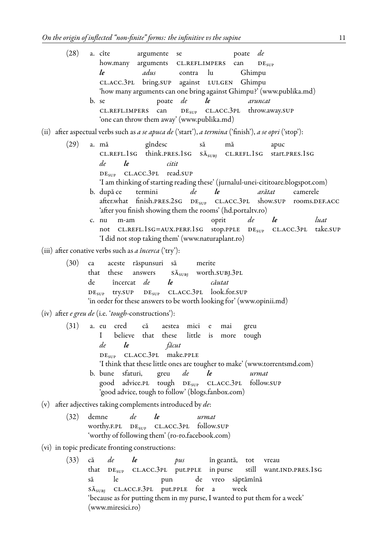(www.miresici.ro)

|     | (28) | a. cîte<br>argumente se<br>poate de<br>how.many arguments CL.REFL.IMPERS<br>can<br>DE <sub>SUP</sub><br>adus<br>le<br>contra lu<br>Ghimpu<br>CL.ACC.3PL bring.SUP against LUI.GEN Ghimpu<br>'how many arguments can one bring against Ghimpu?' (www.publika.md)<br>poate de le<br>b. se<br>aruncat<br>DE <sub>SUP</sub> CL.ACC.3PL throw.away.SUP<br>CL.REFL.IMPERS can                                                                                                                                                                                                                                                                                     |
|-----|------|-------------------------------------------------------------------------------------------------------------------------------------------------------------------------------------------------------------------------------------------------------------------------------------------------------------------------------------------------------------------------------------------------------------------------------------------------------------------------------------------------------------------------------------------------------------------------------------------------------------------------------------------------------------|
|     |      | 'one can throw them away' (www.publika.md)<br>(ii)  after aspectual verbs such as <i>a se apuca de</i> ('start'), <i>a termina</i> ('finish'), <i>a se opri</i> ('stop'):                                                                                                                                                                                                                                                                                                                                                                                                                                                                                   |
|     | (29) | a. mă<br>gîndesc<br>să<br>mă<br>apuc<br>CL.REFL.1SG think.PRES.1SG SĂ <sub>SUBJ</sub> CL.REFL.1SG start.PRES.1SG<br>de<br>$\iota$<br>citit<br>$DESUP$ CL.ACC.3PL read.SUP<br>'I am thinking of starting reading these' (jurnalul-unei-cititoare.blogspot.com)<br>termini<br>de<br>le<br>arătat<br>b. după ce<br>camerele<br>after.what finish.PRES.2SG DE <sub>SUP</sub> CL.ACC.3PL show.SUP rooms.DEF.ACC<br>'after you finish showing them the rooms' (hd.portaltv.ro)<br>de<br>le<br>oprit<br>luat<br>m-am<br>c. nu<br>not CL.REFL.1SG=AUX.PERF.1SG stop.PPLE DE <sub>SUP</sub> CL.ACC.3PL take.SUP<br>'I did not stop taking them' (www.naturaplant.ro) |
|     | (30) | (iii) after conative verbs such as <i>a încerca</i> ('try'):<br>aceste răspunsuri să<br>merite<br>ca<br>that these<br>answers $S_{\text{A}_{\text{SUBI}}}$ worth.SUBJ.3PL<br>încercat de<br>de<br>le<br>căutat<br>$DESUP$ CL.ACC.3PL look.for.SUP<br>try.SUP<br>$DE_{SUP}$<br>'in order for these answers to be worth looking for' (www.opinii.md)                                                                                                                                                                                                                                                                                                          |
|     |      | (iv) after <i>e greu de</i> (i.e. 'tough-constructions'):                                                                                                                                                                                                                                                                                                                                                                                                                                                                                                                                                                                                   |
|     | (31) | a. eu cred că<br>aestea mici e<br>mai<br>greu<br>$\mathbf{I}$<br>believe that these little is<br>tough<br>more<br>de<br>le<br>făcut<br>DE <sub>SUP</sub> CL.ACC.3PL make.PPLE<br>'I think that these little ones are tougher to make' (www.torrentsmd.com)<br>de<br>b. bune sfaturi,<br>le<br>greu<br>urmat<br>good advice.PL tough DE <sub>SUP</sub> CL.ACC.3PL follow.SUP<br>'good advice, tough to follow' (blogs.fanbox.com)                                                                                                                                                                                                                            |
| (v) |      | after adjectives taking complements introduced by de:                                                                                                                                                                                                                                                                                                                                                                                                                                                                                                                                                                                                       |
|     | (32) | de<br>demne<br>le<br>urmat<br>worthy.F.PL DE <sub>SUP</sub> CL.ACC.3PL follow.SUP<br>'worthy of following them' (ro-ro.facebook.com)                                                                                                                                                                                                                                                                                                                                                                                                                                                                                                                        |
|     |      | (vi) in topic predicate fronting constructions:                                                                                                                                                                                                                                                                                                                                                                                                                                                                                                                                                                                                             |
|     | (33) | $\iota$<br>de<br>că<br>pus<br>în geantă, tot vreau<br>that DE <sub>SUP</sub> CL.ACC.3PL put.PPLE in purse still want.IND.PRES.1SG<br>de vreo săptămînă<br>le<br>să<br>pun<br>SĂ <sub>SUBJ</sub> CL.ACC.F.3PL put.PPLE for a<br>week<br>'because as for putting them in my purse, I wanted to put them for a week'                                                                                                                                                                                                                                                                                                                                           |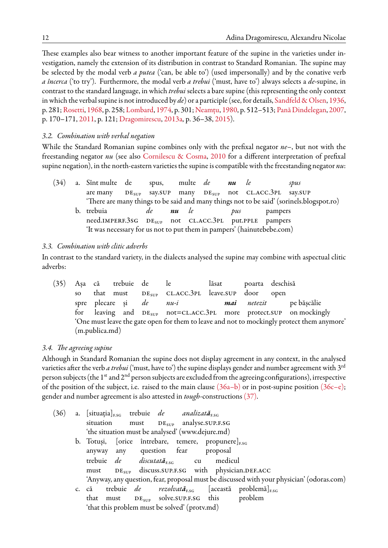These examples also bear witness to another important feature of the supine in the varieties under investigation, namely the extension of its distribution in contrast to Standard Romanian. The supine may be selected by the modal verb *a putea* ('can, be able to') (used impersonally) and by the conative verb *a încerca* ('to try'). Furthermore, the modal verb *a trebui* ('must, have to') always selects a *de*-supine, in contrast to the standard language, in which *trebui* selects a bare supine (this representing the only context in which the verbal supine is not introduced by *de*) or a participle (see, for details, [Sandfeld & Olsen,](#page-17-17) [1936](#page-17-17), p. 281; [Rosetti](#page-17-18), [1968,](#page-17-18) p. 258; [Lombard,](#page-16-26) [1974](#page-16-26), p. 301; [Neamțu,](#page-16-27) [1980](#page-16-27), p. 512–513; [Pană Dindelegan,](#page-17-19) [2007](#page-17-19), p. 170–171, [2011,](#page-17-14) p. 121; [Dragomirescu](#page-16-21), [2013a,](#page-16-21) p. 36–38, [2015](#page-16-25)).

## *3.2. Combination with verbal negation*

While the Standard Romanian supine combines only with the prefixal negator *ne–*, but not with the freestanding negator *nu* (see also [Cornilescu & Cosma](#page-16-28), [2010](#page-16-28) for a different interpretation of prefixal supine negation), in the north-eastern varieties the supine is compatible with the freestanding negator *nu*:

| $DE_{SUP}$ say. SUP many $DE_{SUP}$ not CL.ACC. 3PL say. SUP<br>are many                |  |
|-----------------------------------------------------------------------------------------|--|
| There are many things to be said and many things not to be said' (sorinels.blogspot.ro) |  |
| b. trebuia<br>nu le<br>de<br>pampers<br>pus                                             |  |
| need.IMPERF.3sG DE <sub>SUP</sub> not CL.ACC.3PL put.PPLE pampers                       |  |
| 'It was necessary for us not to put them in pampers' (hainutebebe.com)                  |  |

## *3.3. Combination with clitic adverbs*

In contrast to the standard variety, in the dialects analysed the supine may combine with aspectual clitic adverbs:

(35) Așa că trebuie de le lăsat poarta deschisă so that must  $DE<sub>SUP</sub> CLACC.3PL leavesC.5UP door open$ spre plecare și *de nu-i mai netezit* pe bășcălie for leaving and  $DE_{\text{sup}}$  not=CL.ACC.3PL more protect.SUP on mockingly 'One must leave the gate open for them to leave and not to mockingly protect them anymore' (m.publica.md)

#### *3.4. The agreeing supine*

Although in Standard Romanian the supine does not display agreement in any context, in the analysed varieties after the verb *a trebui*('must, have to') the supine displays gender and number agreement with 3rd person subjects (the  $1^{st}$  and  $2^{nd}$  person subjects are excluded from the agreeing configurations), irrespective of the position of the subject, i.e. raised to the main clause  $(36a-b)$  or in post-supine position  $(36c-e)$ ; gender and number agreement is also attested in *tough*-constructions [\(37\).](#page-12-0)

<span id="page-11-0"></span>

|  |  |  | a. [situația] <sub>F.SG</sub> trebuie de analizată <sub>F.SG</sub><br>situation must DE <sub>SUP</sub> analyse.SUP.F.SG<br>'the situation must be analysed' (www.dejure.md)<br>anyway any question fear proposal<br>'that this problem must be solved' (protv.md) | b. Totuși, [orice întrebare, temere, propunere] $_{ESG}$<br>trebuie de discutată <sub>rsc</sub> cu medicul<br>must DE <sub>SUP</sub> discuss.SUP.F.SG with physician.DEF.ACC<br>'Anyway, any question, fear, proposal must be discussed with your physician' (odoras.com)<br>c. că trebuie de rezolvată <sub>r.sc</sub> [această problemă] <sub>r.sc</sub><br>that must $DE_{SUP}$ solve. SUP.F.SG this problem |
|--|--|--|-------------------------------------------------------------------------------------------------------------------------------------------------------------------------------------------------------------------------------------------------------------------|-----------------------------------------------------------------------------------------------------------------------------------------------------------------------------------------------------------------------------------------------------------------------------------------------------------------------------------------------------------------------------------------------------------------|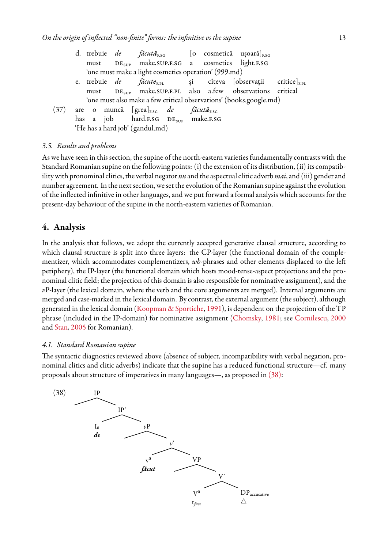|                                                      |  |  |                                                                           |  |  |  | d. trebuie de făcută <sub>r.sc</sub> [o cosmetică ușoară] <sub>r.sc</sub>           |  |
|------------------------------------------------------|--|--|---------------------------------------------------------------------------|--|--|--|-------------------------------------------------------------------------------------|--|
|                                                      |  |  |                                                                           |  |  |  | must DE <sub>SUP</sub> make.SUP.F.SG a cosmetics light.F.SG                         |  |
| 'one must make a light cosmetics operation' (999.md) |  |  |                                                                           |  |  |  |                                                                                     |  |
|                                                      |  |  |                                                                           |  |  |  | e. trebuie de făcute <sub>r.PL</sub> și cîteva [observații critice] <sub>F.PL</sub> |  |
|                                                      |  |  |                                                                           |  |  |  | must DE <sub>SUP</sub> make.SUP.F.PL also a.few observations critical               |  |
|                                                      |  |  |                                                                           |  |  |  | 'one must also make a few critical observations' (books.google.md)                  |  |
|                                                      |  |  | (37) are o muncă [grea] <sub>E.SG</sub> de făcut <b>ă</b> <sub>E.SG</sub> |  |  |  |                                                                                     |  |
|                                                      |  |  | has a job hard.F.SG DE <sub>SUP</sub> make.F.SG                           |  |  |  |                                                                                     |  |
|                                                      |  |  | 'He has a hard job' (gandul.md)                                           |  |  |  |                                                                                     |  |
|                                                      |  |  |                                                                           |  |  |  |                                                                                     |  |

#### <span id="page-12-0"></span>*3.5. Results and problems*

As we have seen in this section, the supine of the north-eastern varieties fundamentally contrasts with the Standard Romanian supine on the following points: (i) the extension of its distribution, (ii) its compatibility with pronominal clitics, the verbal negator *nu* and the aspectual clitic adverb*mai*, and (iii) gender and number agreement. In the next section, we set the evolution of the Romanian supine against the evolution of the inflected infinitive in other languages, and we put forward a formal analysis which accounts for the present-day behaviour of the supine in the north-eastern varieties of Romanian.

# **4. Analysis**

In the analysis that follows, we adopt the currently accepted generative clausal structure, according to which clausal structure is split into three layers: the CP-layer (the functional domain of the complementizer, which accommodates complementizers, *wh*-phrases and other elements displaced to the left periphery), the IP-layer (the functional domain which hosts mood-tense-aspect projections and the pronominal clitic field; the projection of this domain is also responsible for nominative assignment), and the *v*P-layer (the lexical domain, where the verb and the core arguments are merged). Internal arguments are merged and case-marked in the lexical domain. By contrast, the external argument (the subject), although generated in the lexical domain([Koopman & Sportiche,](#page-16-29) [1991](#page-16-29)), is dependent on the projection of the TP phrase (included in the IP-domain) for nominative assignment [\(Chomsky,](#page-16-30) [1981;](#page-16-30) see [Cornilescu](#page-16-31), [2000](#page-16-31) and [Stan](#page-17-20), [2005](#page-17-20) for Romanian).

#### *4.1. Standard Romanian supine*

The syntactic diagnostics reviewed above (absence of subject, incompatibility with verbal negation, pronominal clitics and clitic adverbs) indicate that the supine has a reduced functional structure—cf. many proposals about structure of imperatives in many languages—, as proposed in [\(38\):](#page-12-1)

<span id="page-12-1"></span>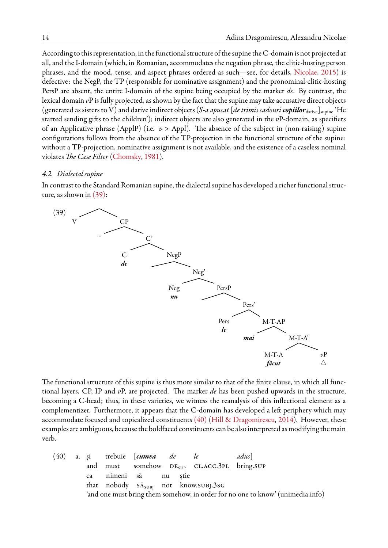According to this representation, in the functional structure of the supine the C-domain is not projected at all, and the I-domain (which, in Romanian, accommodates the negation phrase, the clitic-hosting person phrases, and the mood, tense, and aspect phrases ordered as such—see, for details, [Nicolae,](#page-17-21) [2015](#page-17-21)) is defective: the NegP, the TP (responsible for nominative assignment) and the pronominal-clitic-hosting PersP are absent, the entire I-domain of the supine being occupied by the marker *de*. By contrast, the lexical domain *v*P is fully projected, as shown by the fact that the supine may take accusative direct objects (generated as sisters to V) and dative indirect objects (*S-a apucat* [*de trimis cadouri copiilor*dative]supine 'He started sending gifts to the children'); indirect objects are also generated in the *v*P-domain, as specifiers of an Applicative phrase (ApplP) (i.e. *v* > Appl). The absence of the subject in (non-raising) supine configurations follows from the absence of the TP-projection in the functional structure of the supine: without a TP-projection, nominative assignment is not available, and the existence of a caseless nominal violates *The Case Filter* ([Chomsky,](#page-16-30) [1981\)](#page-16-30).

#### *4.2. Dialectal supine*

In contrast to the Standard Romanian supine, the dialectal supine has developed a richer functional structure, as shown in [\(39\):](#page-13-0)

<span id="page-13-0"></span>

The functional structure of this supine is thus more similar to that of the finite clause, in which all functional layers, CP, IP and *v*P, are projected. The marker *de* has been pushed upwards in the structure, becoming a C-head; thus, in these varieties, we witness the reanalysis of this inflectional element as a complementizer. Furthermore, it appears that the C-domain has developed a left periphery which may accommodate focused and topicalized constituents  $(40)$  [\(Hill & Dragomirescu,](#page-16-32) [2014](#page-16-32)). However, these examples are ambiguous, because the boldfaced constituents can be also interpreted as modifying the main verb.

<span id="page-13-1"></span>(40) a. și trebuie [*cumva de le adus*] and must somehow  $DE<sub>SUP</sub>$  CL.ACC.3PL bring.SUP ca nimeni să nu știe that nobody  $S_{\text{SUBI}}$  not know.subj.3sG 'and one must bring them somehow, in order for no one to know' (unimedia.info)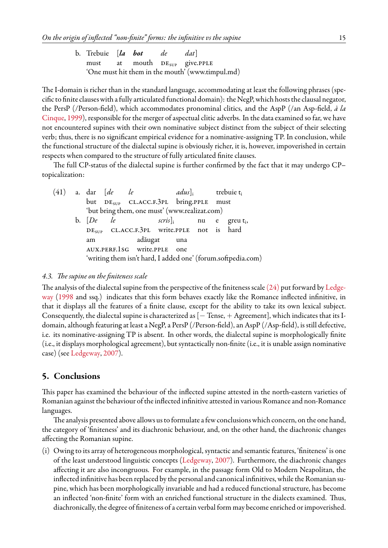The I-domain is richer than in the standard language, accommodating at least the following phrases (specific to finite clauses with a fully articulated functional domain): the NegP, which hosts the clausal negator, the PersP (/Person-field), which accommodates pronominal clitics, and the AspP (/an Asp-field, *à la* [Cinque,](#page-16-33) [1999](#page-16-33)), responsible for the merger of aspectual clitic adverbs. In the data examined so far, we have not encountered supines with their own nominative subject distinct from the subject of their selecting verb; thus, there is no significant empirical evidence for a nominative-assigning TP. In conclusion, while the functional structure of the dialectal supine is obviously richer, it is, however, impoverished in certain respects when compared to the structure of fully articulated finite clauses.

The full CP-status of the dialectal supine is further confirmed by the fact that it may undergo CP– topicalization:

|  |                   | $(41)$ a. dar $\lceil de \rceil$ le |                                                       | <i>adus</i> ], trebuie $t_i$ |  |                                                              |
|--|-------------------|-------------------------------------|-------------------------------------------------------|------------------------------|--|--------------------------------------------------------------|
|  |                   |                                     | but DE <sub>SUP</sub> CL.ACC.F.3PL bring.PPLE must    |                              |  |                                                              |
|  |                   |                                     | 'but bring them, one must' (www.realizat.com)         |                              |  |                                                              |
|  | b. $[De \quad le$ |                                     |                                                       |                              |  | $\text{series}]_i$ nu e greut <sub>i</sub> ,                 |
|  |                   |                                     | DE <sub>SUP</sub> CL.ACC.F.3PL write.PPLE not is hard |                              |  |                                                              |
|  | am                |                                     | adăugat una                                           |                              |  |                                                              |
|  |                   |                                     | AUX.PERF.1sG write.PPLE one                           |                              |  |                                                              |
|  |                   |                                     |                                                       |                              |  | 'writing them isn't hard, I added one' (forum.softpedia.com) |
|  |                   |                                     |                                                       |                              |  |                                                              |

# *4.3. The supine on the finiteness scale*

The analysis of the dialectal supine from the perspective of the finiteness scale [\(24\)](#page-8-1) put forward by [Ledge](#page-16-1)[way](#page-16-1) [\(1998](#page-16-1) and ssq.) indicates that this form behaves exactly like the Romance inflected infinitive, in that it displays all the features of a finite clause, except for the ability to take its own lexical subject. Consequently, the dialectal supine is characterized as  $[-$  Tense,  $+$  Agreement], which indicates that its Idomain, although featuring at least a NegP, a PersP (/Person-field), an AspP (/Asp-field), is still defective, i.e. its nominative-assigning TP is absent. In other words, the dialectal supine is morphologically finite (i.e., it displays morphological agreement), but syntactically non-finite (i.e., it is unable assign nominative case) (see [Ledgeway,](#page-16-0) [2007\)](#page-16-0).

# <span id="page-14-0"></span>**5. Conclusions**

This paper has examined the behaviour of the inflected supine attested in the north-eastern varieties of Romanian against the behaviour of the inflected infinitive attested in various Romance and non-Romance languages.

The analysis presented above allows us to formulate a few conclusions which concern, on the one hand, the category of 'finiteness' and its diachronic behaviour, and, on the other hand, the diachronic changes affecting the Romanian supine.

(i) Owing to its array of heterogeneous morphological, syntactic and semantic features, 'finiteness' is one of the least understood linguistic concepts([Ledgeway,](#page-16-0) [2007](#page-16-0)). Furthermore, the diachronic changes affecting it are also incongruous. For example, in the passage form Old to Modern Neapolitan, the inflected infinitive has been replaced by the personal and canonical infinitives, while the Romanian supine, which has been morphologically invariable and had a reduced functional structure, has become an inflected 'non-finite' form with an enriched functional structure in the dialects examined. Thus, diachronically, the degree of finiteness of a certain verbal form may become enriched or impoverished.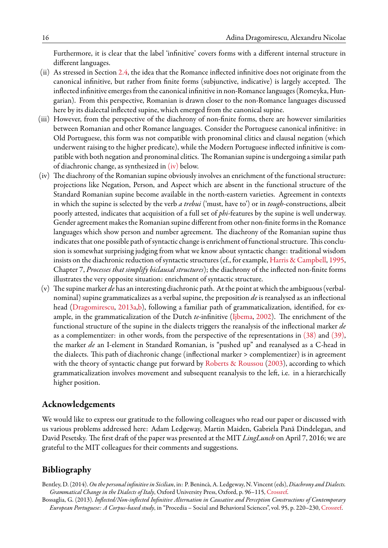Furthermore, it is clear that the label 'infinitive' covers forms with a different internal structure in different languages.

- (ii) As stressed in Section [2.4,](#page-8-2) the idea that the Romance inflected infinitive does not originate from the canonical infinitive, but rather from finite forms (subjunctive, indicative) is largely accepted. The inflected infinitive emerges from the canonical infinitive in non-Romance languages (Romeyka, Hungarian). From this perspective, Romanian is drawn closer to the non-Romance languages discussed here by its dialectal inflected supine, which emerged from the canonical supine.
- (iii) However, from the perspective of the diachrony of non-finite forms, there are however similarities between Romanian and other Romance languages. Consider the Portuguese canonical infinitive: in Old Portuguese, this form was not compatible with pronominal clitics and clausal negation (which underwent raising to the higher predicate), while the Modern Portuguese inflected infinitive is compatible with both negation and pronominal clitics. The Romanian supine is undergoing a similar path of diachronic change, as synthesized in  $(iv)$  below.
- (iv) The diachrony of the Romanian supine obviously involves an enrichment of the functional structure: projections like Negation, Person, and Aspect which are absent in the functional structure of the Standard Romanian supine become available in the north-eastern varieties. Agreement in contexts in which the supine is selected by the verb *a trebui* ('must, have to') or in *tough*-constructions, albeit poorly attested, indicates that acquisition of a full set of *phi*-features by the supine is well underway. Gender agreement makes the Romanian supine different from other non-finite forms in the Romance languages which show person and number agreement. The diachrony of the Romanian supine thus indicates that one possible path of syntactic change is enrichment of functional structure. This conclusion is somewhat surprising judging from what we know about syntactic change: traditional wisdom insists on the diachronic reduction of syntactic structures (cf., for example, [Harris & Campbell,](#page-16-34) [1995](#page-16-34), Chapter 7, *Processes that simplify biclausal structures*); the diachrony of the inflected non-finite forms illustrates the very opposite situation: enrichment of syntactic structure.
- (v) The supine marker *de* has an interesting diachronic path. At the point at which the ambiguous (verbalnominal) supine grammaticalizes as a verbal supine, the preposition *de* is reanalysed as an inflectional head [\(Dragomirescu](#page-16-21), [2013a](#page-16-21),[b\)](#page-16-22), following a familiar path of grammaticalization, identified, for example, in the grammaticalization of the Dutch *te*-infinitive([Ijbema,](#page-16-35) [2002](#page-16-35)). The enrichment of the functional structure of the supine in the dialects triggers the reanalysis of the inflectional marker *de* as a complementizer: in other words, from the perspective of the representations in [\(38\)](#page-12-1) and [\(39\)](#page-13-0), the marker *de* an I-element in Standard Romanian, is "pushed up" and reanalysed as a C-head in the dialects. This path of diachronic change (inflectional marker > complementizer) is in agreement with the theory of syntactic change put forward by [Roberts & Roussou](#page-17-22) [\(2003](#page-17-22)), according to which grammaticalization involves movement and subsequent reanalysis to the left, i.e. in a hierarchically higher position.

# **Acknowledgements**

We would like to express our gratitude to the following colleagues who read our paper or discussed with us various problems addressed here: Adam Ledgeway, Martin Maiden, Gabriela Pană Dindelegan, and David Pesetsky. The first draft of the paper was presented at the MIT *LingLunch* on April 7, 2016; we are grateful to the MIT colleagues for their comments and suggestions.

# **Bibliography**

- <span id="page-15-1"></span>Bentley, D. (2014).*On the personal infinitive in Sicilian*, in: P. Benincà, A. Ledgeway, N. Vincent (eds), *Diachrony and Dialects. Grammatical Change in the Dialects of Italy*, Oxford University Press, Oxford, p. 96–115, [Crossref.](http://dx.doi.org/10.1093/acprof:oso/9780198701781.003.0005)
- <span id="page-15-0"></span>Bossaglia, G. (2013). *Inflected/Non-inflected Infinitive Alternation in Causative and Perception Constructions of Contemporary European Portuguese: A Corpus-based study*, in "Procedia – Social and Behavioral Sciences", vol. 95, p. 220–230, [Crossref](http://dx.doi.org/10.1016/j.sbspro.2013.10.642).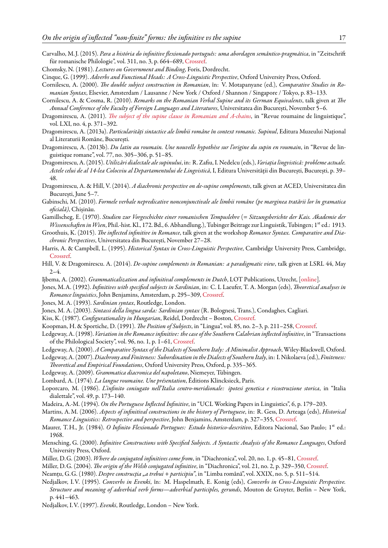- <span id="page-16-8"></span>Carvalho, M. J. (2015). *Para a história do infinitive flexionado português: uma abordagen semântico-pragmática*, in "Zeitschrift für romanische Philologie", vol. 311, no. 3, p. 664–689, [Crossref](http://dx.doi.org/10.1515/zrp-2015-0047).
- <span id="page-16-30"></span>Chomsky, N. (1981). *Lectures on Government and Binding*, Foris, Dordrecht.
- <span id="page-16-33"></span>Cinque, G. (1999). *Adverbs and Functional Heads: A Cross-Linguistic Perspective*, Oxford University Press, Oxford.
- <span id="page-16-31"></span>Cornilescu, A. (2000). *The double subject construction in Romanian*, în: V. Motapanyane (ed.), *Comparative Studies in Romanian Syntax*, Elsevier, Amsterdam / Lausanne / New York / Oxford / Shannon / Singapore / Tokyo, p. 83–133.
- <span id="page-16-28"></span>Cornilescu, A. & Cosma, R. (2010). *Remarks on the Romanian Verbal Supine and its German Equivalents*, talk given at *The Annual Conference of the Faculty of Foreign Languages and Literatures*, Universitatea din București, November 5–6.
- <span id="page-16-20"></span>Dragomirescu, A. (2011). *[The subject of the supine clause in Romanian and A-chains](http://www.diacronia.ro/en/indexing/details/A361)*, in "Revue roumaine de linguistique", vol. LXI, no. 4, p. 371–392.
- <span id="page-16-21"></span>Dragomirescu, A. (2013a). *Particularități sintactice ale limbii române în context romanic. Supinul*, Editura Muzeului Național al Literaturii Române, București.
- <span id="page-16-22"></span>Dragomirescu, A. (2013b). *Du latin au roumain. Une nouvelle hypothèse sur l'origine du supin en roumain*, in "Revue de linguistique romane", vol. 77, no. 305–306, p. 51–85.
- <span id="page-16-25"></span>Dragomirescu, A. (2015). *Utilizări dialectale ale supinului*, in: R. Zafiu, I. Nedelcu (eds.), *Variația lingvistică: probleme actuale. Actele celui de al 14-lea Colocviu al Departamentului de Lingvistică*, I, Editura Universității din București, București, p. 39– 48.
- <span id="page-16-24"></span>Dragomirescu, A. & Hill, V. (2014). *A diachronic perspective on de-supine complements*, talk given at ACED, Universitatea din București, June 5–7.
- <span id="page-16-23"></span>Gabinschi, M. (2010). *Formele verbale nepredicative nonconjunctivale ale limbii române (pe marginea tratării lor în gramatica oficială)*, Chișinău.
- <span id="page-16-15"></span>Gamillscheg, E. (1970). *Studien zur Vorgeschichte einer romanischen Tempuslehre* (= *Sitzungsberichte der Kais. Akademie der Wissenschaften in Wien*, Phil.-hist. Kl., 172. Bd., 6. Abhandlung.), Tubinger Beitrage zur Linguistik, Tubingen; 1<sup>st</sup> ed.: 1913.
- <span id="page-16-5"></span>Groothuis, K. (2015). *The inflected infinitive in Romance*, talk given at the workshop *Romance Syntax. Comparative and Diachronic Perspectives*, Universitatea din București, November 27–28.
- <span id="page-16-34"></span>Harris, A. & Campbell, L. (1995). *Historical Syntax in Cross-Linguistic Perspective*, Cambridge University Press, Cambridge, [Crossref.](http://dx.doi.org/10.1017/CBO9780511620553)
- <span id="page-16-32"></span>Hill, V. & Dragomirescu. A. (2014). *De-supine complements in Romanian: a paradigmatic view*, talk given at LSRL 44, May  $2 - 4.$
- <span id="page-16-35"></span>Ijbema, A. (2002). *Grammaticalization and infinitival complements in Dutch*, LOT Publications, Utrecht, [\[online](http://www.lotpublications.nl/Documents/54_fulltext.pdf)].
- <span id="page-16-9"></span>Jones, M.A. (1992). *Infinitives with specified subjects in Sardinian*, in: C. L Laeufer, T. A. Morgan (eds), *Theoretical analyses in Romance linguistics*, John Benjamins, Amsterdam, p. 295–309, [Crossref](http://dx.doi.org/10.1075/cilt.74.20jon).
- <span id="page-16-10"></span>Jones, M. A. (1993). *Sardinian syntax*, Routledge, London.
- <span id="page-16-11"></span>Jones, M. A. (2003). *Sintassi della lingua sarda: Sardinian syntax* (R. Bolognesi, Trans.), Condaghes, Cagliari.
- <span id="page-16-13"></span>Kiss, K. (1987). *Configurationality in Hungarian*, Reidel, Dordrecht – Boston, [Crossref](http://dx.doi.org/10.1007/978-94-009-3703-1).
- <span id="page-16-29"></span>Koopman, H. & Sportiche, D. (1991). *The Position of Subjects*, in "Lingua", vol. 85, no. 2–3, p. 211–258, [Crossref.](http://dx.doi.org/10.1016/0024-3841(91)90022-W)
- <span id="page-16-1"></span>Ledgeway, A. (1998). *Variation in the Romance infinitive: the case of the Southern Calabrian inflected infinitive*, in "Transactions of the Philological Society", vol. 96, no. 1, p. 1–61, [Crossref](http://dx.doi.org/10.1111/1467-968X.00023).
- <span id="page-16-4"></span>Ledgeway, A. (2000). *A Comparative Syntax of the Dialects of Southern Italy: A Minimalist Approach*, Wiley-Blackwell, Oxford.
- <span id="page-16-0"></span>Ledgeway, A. (2007).*Diachrony and Finiteness: Subordination inthe Dialects of Southern Italy*, in: I. Nikolaeva (ed.), *Finiteness: Theoretical and Empirical Foundations*, Oxford University Press, Oxford, p. 335–365.
- <span id="page-16-12"></span>Ledgeway, A. (2009). *Grammatica diacronica del napoletano*, Niemeyer, Tübingen.
- <span id="page-16-26"></span>Lombard, A. (1974). *La langue roumaine. Une présentation*, Éditions Klincksieck, Paris.
- <span id="page-16-16"></span>Loporcaro, M. (1986). *L'infinito coniugato nell'Italia centro-meridionale: ipotesi genetica e ricostruzione storica*, in "Italia dialettale", vol. 49, p. 173–140.
- <span id="page-16-6"></span>Madeira, A.-M. (1994). *On the Portuguese Inflected Infinitive*, in "UCL Working Papers in Linguistics", 6, p. 179–203.
- <span id="page-16-7"></span>Martins, A.M. (2006). *Aspects of infinitival constructions in the history of Portuguese*, in: R. Gess, D. Arteaga (eds), *Historical Romance Linguistics: Retrospective and perspective*, John Benjamins, Amsterdam, p. 327–355, [Crossref](http://dx.doi.org/10.1075/cilt.274.20mar).
- <span id="page-16-14"></span>Maurer, T.H., Jr. (1984). *O Infinito Flexionado Portugues: Estudo historico-descritivo*, Editora Nacional, Sao Paulo; 1<sup>st</sup> ed.: 1968.
- <span id="page-16-2"></span>Mensching, G. (2000). *Infinitive Constructions with Specified Subjects. A Syntactic Analysis of the Romance Languages*, Oxford University Press, Oxford.
- <span id="page-16-3"></span>Miller, D.G. (2003). *Where do conjugated infinitives come from*, in "Diachronica", vol. 20, no. 1, p. 45–81, [Crossref.](http://dx.doi.org/10.1075/dia.20.1.05mil)
- <span id="page-16-17"></span>Miller, D.G. (2004). *The origin of the Welsh conjugated infinitive*, in "Diachronica", vol. 21, no. 2, p. 329–350, [Crossref.](http://dx.doi.org/10.1075/dia.21.2.04mil)
- <span id="page-16-27"></span>Neamțu, G.G. (1980). *Despre construcția "a trebui + participiu"*, in "Limba română", vol. XXIX, no. 5, p. 511–514.
- <span id="page-16-18"></span>Nedjalkov, I.V. (1995). *Converbs in Evenki*, în: M. Haspelmath, E. Konig (eds), *Converbs in Cross-Linguistic Perspective. Structure and meaning of adverbial verb forms—adverbial participles, gerunds*, Mouton de Gruyter, Berlin – New York, p. 441–463.
- <span id="page-16-19"></span>Nedjalkov, I.V. (1997). *Evenki*, Routledge, London – New York.